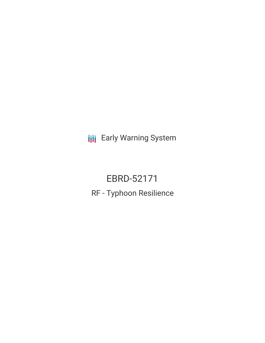**III** Early Warning System

EBRD-52171 RF - Typhoon Resilience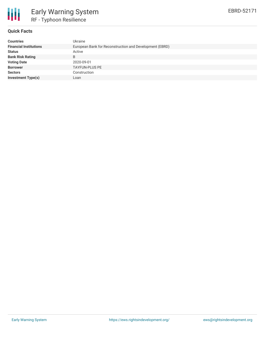

### **Quick Facts**

| <b>Countries</b>              | Ukraine                                                 |
|-------------------------------|---------------------------------------------------------|
| <b>Financial Institutions</b> | European Bank for Reconstruction and Development (EBRD) |
| <b>Status</b>                 | Active                                                  |
| <b>Bank Risk Rating</b>       | B                                                       |
| <b>Voting Date</b>            | 2020-09-01                                              |
| <b>Borrower</b>               | <b>TAYFUN-PLUS PE</b>                                   |
| <b>Sectors</b>                | Construction                                            |
| <b>Investment Type(s)</b>     | Loan                                                    |
|                               |                                                         |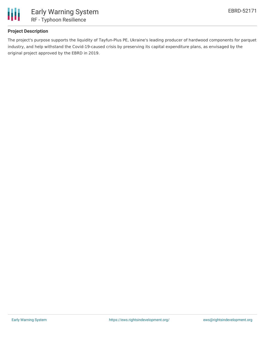

# **Project Description**

The project's purpose supports the liquidity of Tayfun-Plus PE, Ukraine's leading producer of hardwood components for parquet industry, and help withstand the Covid-19-caused crisis by preserving its capital expenditure plans, as envisaged by the original project approved by the EBRD in 2019.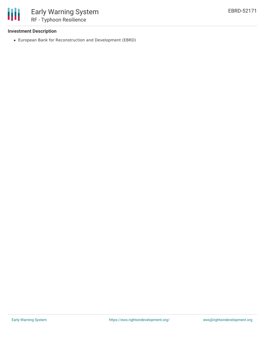### **Investment Description**

冊

European Bank for Reconstruction and Development (EBRD)